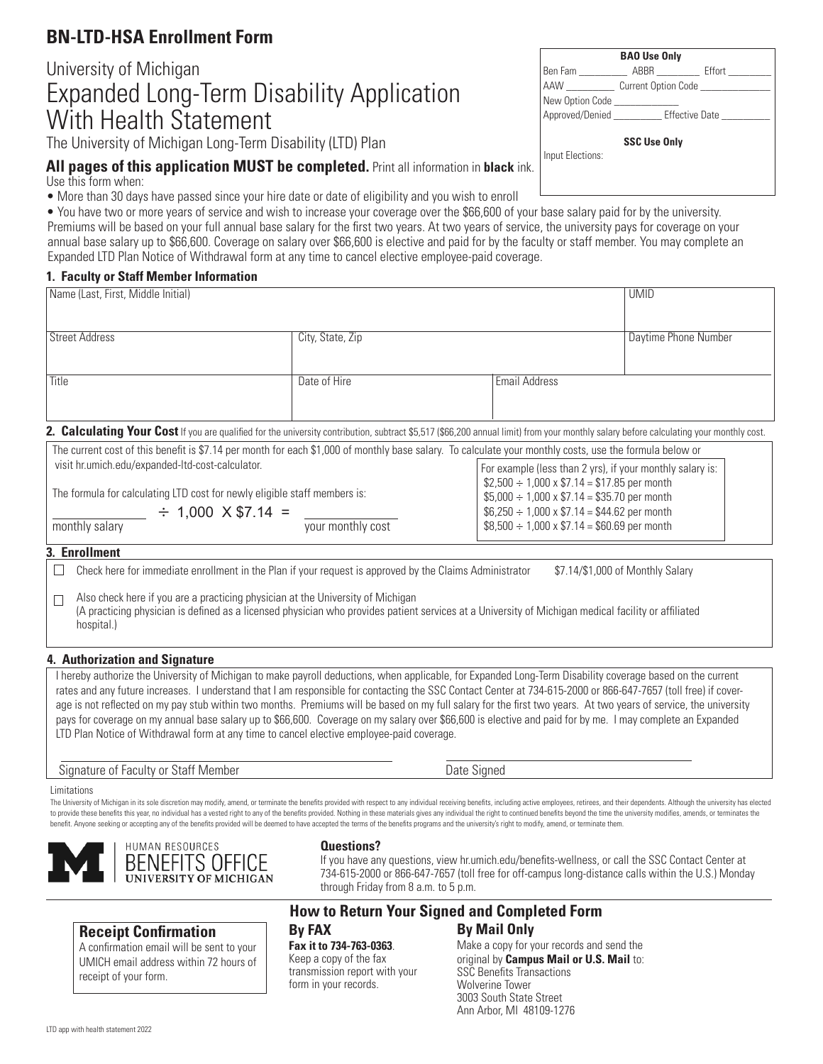# **BN-LTD-HSA Enrollment Form**

# University of Michigan Expanded Long-Term Disability Application With Health Statement

The University of Michigan Long-Term Disability (LTD) Plan

All pages of this application MUST be completed. Print all information in black ink. Use this form when:

• More than 30 days have passed since your hire date or date of eligibility and you wish to enroll

Premiums will be based on your full annual base salary for the first two years. At two years of service, the university pays for coverage on your annual base salary up to \$66,600. Coverage on salary over \$66,600 is elective and paid for by the faculty or staff member. You may complete an Expanded LTD Plan Notice of Withdrawal form at any time to cancel elective employee-paid coverage. • You have two or more years of service and wish to increase your coverage over the \$66,600 of your base salary paid for by the university.

### **1. Faculty or Staff Member Information**

| Name (Last, First, Middle Initial) |                                                                                                                                                                                        |                      | <b>UMID</b>          |
|------------------------------------|----------------------------------------------------------------------------------------------------------------------------------------------------------------------------------------|----------------------|----------------------|
| <b>Street Address</b>              | City, State, Zip                                                                                                                                                                       |                      | Daytime Phone Number |
| Title                              | Date of Hire                                                                                                                                                                           | <b>Email Address</b> |                      |
|                                    | 2. Calculating Your Cost If you are qualified for the university contribution, subtract \$5,517 (\$66,200 annual limit) from your monthly salary before calculating your monthly cost. |                      |                      |

| The current cost of this benefit is \$7.14 per month for each \$1,000 of monthly base salary. To calculate your monthly costs, use the formula below or |                                                            |  |  |
|---------------------------------------------------------------------------------------------------------------------------------------------------------|------------------------------------------------------------|--|--|
| visit hr.umich.edu/expanded-ltd-cost-calculator.                                                                                                        | For example (less than 2 yrs), if your monthly salary is:  |  |  |
|                                                                                                                                                         | $\frac{1}{2}$ \$2,500 ÷ 1,000 x \$7.14 = \$17.85 per month |  |  |
| The formula for calculating LTD cost for newly eligible staff members is:                                                                               | $$5,000 \div 1,000 \times $7.14 = $35.70$ per month        |  |  |
| $\div$ 1,000 X \$7.14 =                                                                                                                                 | $$6,250 \div 1,000 \times $7.14 = $44.62$ per month        |  |  |
| monthly salary<br>your monthly cost                                                                                                                     | $$8,500 \div 1,000 \times $7.14 = $60.69$ per month        |  |  |
|                                                                                                                                                         |                                                            |  |  |

## **3. Enrollment**

 $\Box$ Check here for immediate enrollment in the Plan if your request is approved by the Claims Administrator \$7.14/\$1,000 of Monthly Salary

**B** Also check here if you are a practicing physician at the University of Michigan (A practicing physician is defined as a licensed physician who provides patient services at a University of Michigan medical facility or affiliated hospital.)

## **4. Authorization and Signature**

I hereby authorize the University of Michigan to make payroll deductions, when applicable, for Expanded Long-Term Disability coverage based on the current rates and any future increases. I understand that I am responsible for contacting the SSC Contact Center at 734-615-2000 or 866-647-7657 (toll free) if coverage is not reflected on my pay stub within two months. Premiums will be based on my full salary for the first two years. At two years of service, the university pays for coverage on my annual base salary up to \$66,600. Coverage on my salary over \$66,600 is elective and paid for by me. I may complete an Expanded LTD Plan Notice of Withdrawal form at any time to cancel elective employee-paid coverage.

Signature of Faculty or Staff Member **Date Signed** Date Signed

Limitations The University of Michigan in its sole discretion may modify, amend, or terminate the benefits provided with respect to any individual receiving benefits, including active employees, retirees, and their dependents. Althoug to provide these benefits this year, no individual has a vested right to any of the benefits provided. Nothing in these materials gives any individual the right to continued benefits beyond the time the university modifies benefit. Anyone seeking or accepting any of the benefits provided will be deemed to have accepted the terms of the benefits programs and the university's right to modify, amend, or terminate them.

through Friday from 8 a.m. to 5 p.m.

**Receipt Confirmation** A confirmation email will be sent to your UMICH email address within 72 hours of receipt of your form.

HUMAN RESOURCES

BENEFITS OFFICE **VERSITY OF MICHIGAN** 

#### **By Mail Only By FAX How to Return Your Signed and Completed Form**

**Fax it to 734-763-0363**. Keep a copy of the fax transmission report with your form in your records.

**Questions?**

Make a copy for your records and send the original by **Campus Mail or U.S. Mail** to: SSC Benefits Transactions Wolverine Tower 3003 South State Street Ann Arbor, MI 48109-1276

If you have any questions, view hr.umich.edu/benefits-wellness, or call the SSC Contact Center at 734-615-2000 or 866-647-7657 (toll free for off-campus long-distance calls within the U.S.) Monday

## **BAO Use Only** Ben Fam \_\_\_\_\_\_\_\_\_ ABBR \_\_\_\_\_\_\_\_ Effort \_\_\_\_\_\_\_\_ AAW Current Option Code New Option Code Approved/Denied \_\_\_\_\_\_\_\_\_\_\_ Effective Date  **SSC Use Only** Input Elections:

LTD app with health statement 2022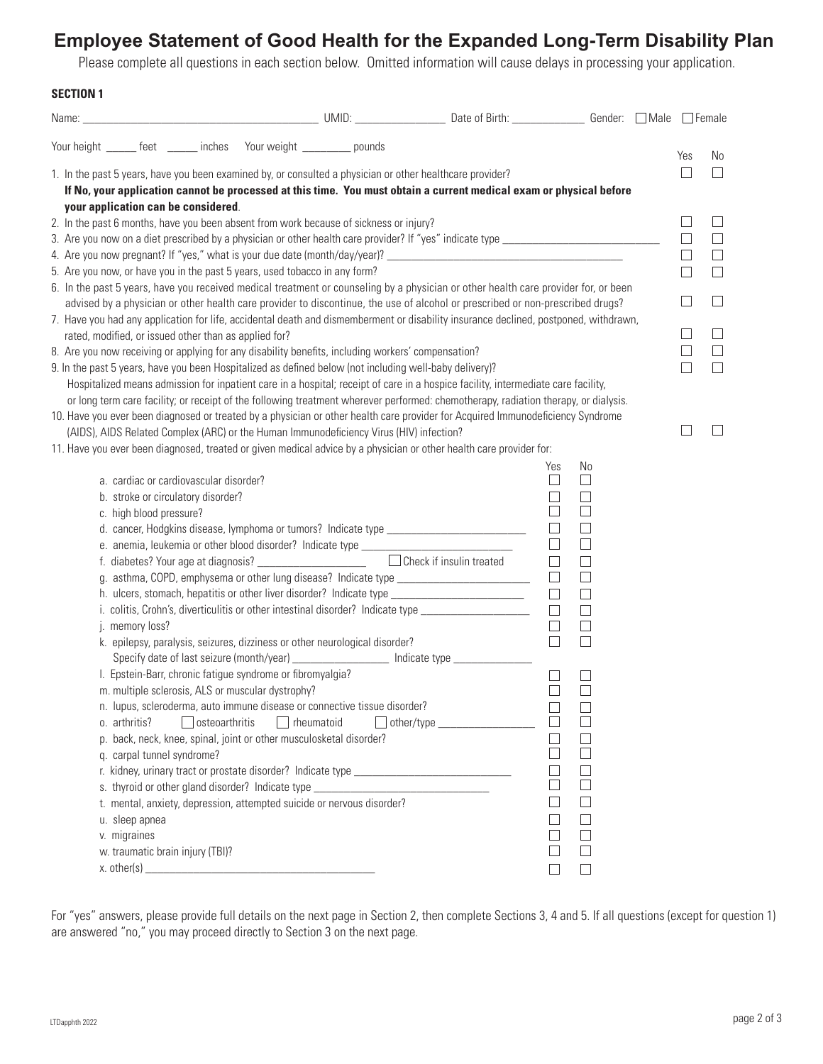# **Employee Statement of Good Health for the Expanded Long-Term Disability Plan**

Please complete all questions in each section below. Omitted information will cause delays in processing your application.

## **SECTION 1**

|                                                                                                                                                                                                                   | Your height ______ feet ______ inches Your weight _________ pounds                                                                                                                                                         |                       |                   |                                                                                                                                                                                                               |                                                                                                                                      |                   |        |  | Yes               | No                |
|-------------------------------------------------------------------------------------------------------------------------------------------------------------------------------------------------------------------|----------------------------------------------------------------------------------------------------------------------------------------------------------------------------------------------------------------------------|-----------------------|-------------------|---------------------------------------------------------------------------------------------------------------------------------------------------------------------------------------------------------------|--------------------------------------------------------------------------------------------------------------------------------------|-------------------|--------|--|-------------------|-------------------|
|                                                                                                                                                                                                                   |                                                                                                                                                                                                                            |                       |                   |                                                                                                                                                                                                               | 1. In the past 5 years, have you been examined by, or consulted a physician or other healthcare provider?                            |                   |        |  |                   | $\perp$           |
|                                                                                                                                                                                                                   |                                                                                                                                                                                                                            |                       |                   |                                                                                                                                                                                                               | If No, your application cannot be processed at this time. You must obtain a current medical exam or physical before                  |                   |        |  |                   |                   |
|                                                                                                                                                                                                                   | your application can be considered.                                                                                                                                                                                        |                       |                   |                                                                                                                                                                                                               |                                                                                                                                      |                   |        |  |                   |                   |
|                                                                                                                                                                                                                   |                                                                                                                                                                                                                            |                       |                   | 2. In the past 6 months, have you been absent from work because of sickness or injury?                                                                                                                        |                                                                                                                                      |                   |        |  |                   | $\vert \ \ \vert$ |
| 3. Are you now on a diet prescribed by a physician or other health care provider? If "yes" indicate type ________                                                                                                 |                                                                                                                                                                                                                            |                       |                   |                                                                                                                                                                                                               |                                                                                                                                      |                   | $\Box$ |  |                   |                   |
| 4. Are you now pregnant? If "yes," what is your due date (month/day/year)? ___________________________________                                                                                                    |                                                                                                                                                                                                                            |                       |                   |                                                                                                                                                                                                               | $\Box$                                                                                                                               | $\Box$            |        |  |                   |                   |
| 5. Are you now, or have you in the past 5 years, used tobacco in any form?<br>6. In the past 5 years, have you received medical treatment or counseling by a physician or other health care provider for, or been |                                                                                                                                                                                                                            |                       |                   |                                                                                                                                                                                                               | П                                                                                                                                    |                   |        |  |                   |                   |
|                                                                                                                                                                                                                   |                                                                                                                                                                                                                            |                       |                   |                                                                                                                                                                                                               |                                                                                                                                      |                   |        |  |                   |                   |
|                                                                                                                                                                                                                   |                                                                                                                                                                                                                            |                       |                   |                                                                                                                                                                                                               | advised by a physician or other health care provider to discontinue, the use of alcohol or prescribed or non-prescribed drugs?       |                   |        |  |                   | H                 |
|                                                                                                                                                                                                                   |                                                                                                                                                                                                                            |                       |                   |                                                                                                                                                                                                               | 7. Have you had any application for life, accidental death and dismemberment or disability insurance declined, postponed, withdrawn, |                   |        |  | $\Box$            | $\Box$            |
|                                                                                                                                                                                                                   | rated, modified, or issued other than as applied for?                                                                                                                                                                      |                       |                   |                                                                                                                                                                                                               |                                                                                                                                      |                   |        |  | $\vert \ \ \vert$ | $\Box$            |
|                                                                                                                                                                                                                   |                                                                                                                                                                                                                            |                       |                   | 8. Are you now receiving or applying for any disability benefits, including workers' compensation?<br>9. In the past 5 years, have you been Hospitalized as defined below (not including well-baby delivery)? |                                                                                                                                      |                   |        |  |                   | П                 |
|                                                                                                                                                                                                                   |                                                                                                                                                                                                                            |                       |                   |                                                                                                                                                                                                               | Hospitalized means admission for inpatient care in a hospital; receipt of care in a hospice facility, intermediate care facility,    |                   |        |  |                   |                   |
|                                                                                                                                                                                                                   |                                                                                                                                                                                                                            |                       |                   |                                                                                                                                                                                                               | or long term care facility; or receipt of the following treatment wherever performed: chemotherapy, radiation therapy, or dialysis.  |                   |        |  |                   |                   |
|                                                                                                                                                                                                                   |                                                                                                                                                                                                                            |                       |                   |                                                                                                                                                                                                               |                                                                                                                                      |                   |        |  |                   |                   |
|                                                                                                                                                                                                                   | 10. Have you ever been diagnosed or treated by a physician or other health care provider for Acquired Immunodeficiency Syndrome<br>(AIDS), AIDS Related Complex (ARC) or the Human Immunodeficiency Virus (HIV) infection? |                       |                   |                                                                                                                                                                                                               |                                                                                                                                      |                   |        |  |                   |                   |
|                                                                                                                                                                                                                   |                                                                                                                                                                                                                            |                       |                   |                                                                                                                                                                                                               | 11. Have you ever been diagnosed, treated or given medical advice by a physician or other health care provider for:                  |                   |        |  |                   |                   |
|                                                                                                                                                                                                                   |                                                                                                                                                                                                                            |                       |                   |                                                                                                                                                                                                               |                                                                                                                                      | Yes               | No     |  |                   |                   |
|                                                                                                                                                                                                                   | a. cardiac or cardiovascular disorder?                                                                                                                                                                                     |                       |                   |                                                                                                                                                                                                               |                                                                                                                                      | $\Box$            | $\Box$ |  |                   |                   |
|                                                                                                                                                                                                                   | b. stroke or circulatory disorder?                                                                                                                                                                                         |                       |                   |                                                                                                                                                                                                               |                                                                                                                                      | $\Box$            | $\Box$ |  |                   |                   |
|                                                                                                                                                                                                                   | П<br>$\Box$<br>c. high blood pressure?                                                                                                                                                                                     |                       |                   |                                                                                                                                                                                                               |                                                                                                                                      |                   |        |  |                   |                   |
| $\Box$<br>$\Box$                                                                                                                                                                                                  |                                                                                                                                                                                                                            |                       |                   |                                                                                                                                                                                                               |                                                                                                                                      |                   |        |  |                   |                   |
| $\Box$<br>$\Box$<br>e. anemia, leukemia or other blood disorder? Indicate type ______________________                                                                                                             |                                                                                                                                                                                                                            |                       |                   |                                                                                                                                                                                                               |                                                                                                                                      |                   |        |  |                   |                   |
|                                                                                                                                                                                                                   | $\Box$ Check if insulin treated<br>f. diabetes? Your age at diagnosis? ______________________<br>$\Box$<br>$\Box$                                                                                                          |                       |                   |                                                                                                                                                                                                               |                                                                                                                                      |                   |        |  |                   |                   |
|                                                                                                                                                                                                                   | g. asthma, COPD, emphysema or other lung disease? Indicate type _______________________<br>$\Box$<br>$\Box$                                                                                                                |                       |                   |                                                                                                                                                                                                               |                                                                                                                                      |                   |        |  |                   |                   |
|                                                                                                                                                                                                                   | $\Box$<br>h. ulcers, stomach, hepatitis or other liver disorder? Indicate type ______________________________<br>$\Box$                                                                                                    |                       |                   |                                                                                                                                                                                                               |                                                                                                                                      |                   |        |  |                   |                   |
|                                                                                                                                                                                                                   | $\Box$<br>i. colitis, Crohn's, diverticulitis or other intestinal disorder? Indicate type ___________________<br>$\Box$                                                                                                    |                       |                   |                                                                                                                                                                                                               |                                                                                                                                      |                   |        |  |                   |                   |
|                                                                                                                                                                                                                   | $\Box$<br>$\Box$<br>j. memory loss?                                                                                                                                                                                        |                       |                   |                                                                                                                                                                                                               |                                                                                                                                      |                   |        |  |                   |                   |
|                                                                                                                                                                                                                   | $\Box$<br>$\Box$<br>k. epilepsy, paralysis, seizures, dizziness or other neurological disorder?<br>Specify date of last seizure (month/year) _________________ Indicate type ___________                                   |                       |                   |                                                                                                                                                                                                               |                                                                                                                                      |                   |        |  |                   |                   |
|                                                                                                                                                                                                                   | I. Epstein-Barr, chronic fatigue syndrome or fibromyalgia?                                                                                                                                                                 |                       |                   |                                                                                                                                                                                                               |                                                                                                                                      |                   |        |  |                   |                   |
|                                                                                                                                                                                                                   | m. multiple sclerosis, ALS or muscular dystrophy?                                                                                                                                                                          |                       |                   |                                                                                                                                                                                                               |                                                                                                                                      | $\vert \ \ \vert$ |        |  |                   |                   |
|                                                                                                                                                                                                                   |                                                                                                                                                                                                                            |                       |                   | n. lupus, scleroderma, auto immune disease or connective tissue disorder?                                                                                                                                     |                                                                                                                                      |                   |        |  |                   |                   |
|                                                                                                                                                                                                                   | o. arthritis?                                                                                                                                                                                                              | $\Box$ osteoarthritis | $\Box$ rheumatoid |                                                                                                                                                                                                               | $\Box$ other/type $\_\_\_\_\_\_\_\_\_\_\_\_\_\_\_\_\_\_\_\_\_\_$                                                                     | $\Box$            |        |  |                   |                   |
|                                                                                                                                                                                                                   | p. back, neck, knee, spinal, joint or other musculosketal disorder?                                                                                                                                                        |                       |                   |                                                                                                                                                                                                               |                                                                                                                                      |                   |        |  |                   |                   |
|                                                                                                                                                                                                                   | q. carpal tunnel syndrome?                                                                                                                                                                                                 |                       |                   |                                                                                                                                                                                                               |                                                                                                                                      |                   |        |  |                   |                   |
|                                                                                                                                                                                                                   |                                                                                                                                                                                                                            |                       |                   |                                                                                                                                                                                                               |                                                                                                                                      |                   |        |  |                   |                   |
| s. thyroid or other gland disorder? Indicate type ______________________________                                                                                                                                  |                                                                                                                                                                                                                            |                       |                   |                                                                                                                                                                                                               |                                                                                                                                      |                   |        |  |                   |                   |
| t. mental, anxiety, depression, attempted suicide or nervous disorder?                                                                                                                                            |                                                                                                                                                                                                                            |                       |                   |                                                                                                                                                                                                               |                                                                                                                                      |                   |        |  |                   |                   |
| u. sleep apnea                                                                                                                                                                                                    |                                                                                                                                                                                                                            |                       |                   |                                                                                                                                                                                                               |                                                                                                                                      |                   |        |  |                   |                   |
|                                                                                                                                                                                                                   | v. migraines                                                                                                                                                                                                               |                       |                   |                                                                                                                                                                                                               |                                                                                                                                      |                   |        |  |                   |                   |
|                                                                                                                                                                                                                   | w. traumatic brain injury (TBI)?                                                                                                                                                                                           |                       |                   |                                                                                                                                                                                                               |                                                                                                                                      |                   |        |  |                   |                   |
|                                                                                                                                                                                                                   |                                                                                                                                                                                                                            |                       |                   |                                                                                                                                                                                                               |                                                                                                                                      |                   |        |  |                   |                   |

For "yes" answers, please provide full details on the next page in Section 2, then complete Sections 3, 4 and 5. If all questions (except for question 1) are answered "no," you may proceed directly to Section 3 on the next page.